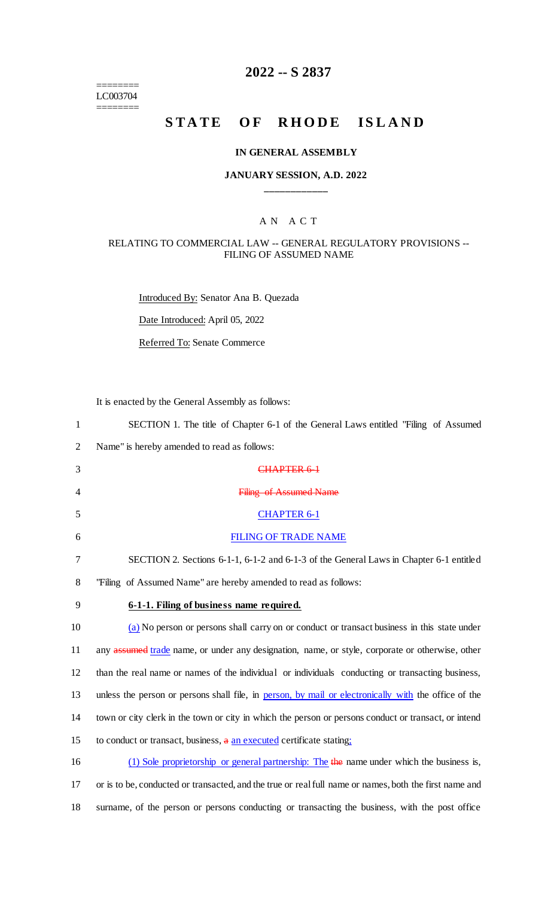======== LC003704

 $=$ 

# **2022 -- S 2837**

# **STATE OF RHODE ISLAND**

### **IN GENERAL ASSEMBLY**

### **JANUARY SESSION, A.D. 2022 \_\_\_\_\_\_\_\_\_\_\_\_**

### A N A C T

### RELATING TO COMMERCIAL LAW -- GENERAL REGULATORY PROVISIONS -- FILING OF ASSUMED NAME

Introduced By: Senator Ana B. Quezada

Date Introduced: April 05, 2022

Referred To: Senate Commerce

It is enacted by the General Assembly as follows:

| $\mathbf{1}$   | SECTION 1. The title of Chapter 6-1 of the General Laws entitled "Filing of Assumed"                   |
|----------------|--------------------------------------------------------------------------------------------------------|
| $\overline{2}$ | Name" is hereby amended to read as follows:                                                            |
| 3              | CHAPTER 6-1                                                                                            |
| 4              | <b>Filing of Assumed Name</b>                                                                          |
| 5              | <b>CHAPTER 6-1</b>                                                                                     |
| 6              | <b>FILING OF TRADE NAME</b>                                                                            |
| 7              | SECTION 2. Sections 6-1-1, 6-1-2 and 6-1-3 of the General Laws in Chapter 6-1 entitled                 |
| 8              | "Filing of Assumed Name" are hereby amended to read as follows:                                        |
| 9              | 6-1-1. Filing of business name required.                                                               |
| 10             | (a) No person or persons shall carry on or conduct or transact business in this state under            |
| 11             | any assumed trade name, or under any designation, name, or style, corporate or otherwise, other        |
| 12             | than the real name or names of the individual or individuals conducting or transacting business,       |
| 13             | unless the person or persons shall file, in person, by mail or electronically with the office of the   |
| 14             | town or city clerk in the town or city in which the person or persons conduct or transact, or intend   |
| 15             | to conduct or transact, business, a an executed certificate stating;                                   |
| 16             | (1) Sole proprietorship or general partnership: The the name under which the business is,              |
| 17             | or is to be, conducted or transacted, and the true or real full name or names, both the first name and |
|                |                                                                                                        |

18 surname, of the person or persons conducting or transacting the business, with the post office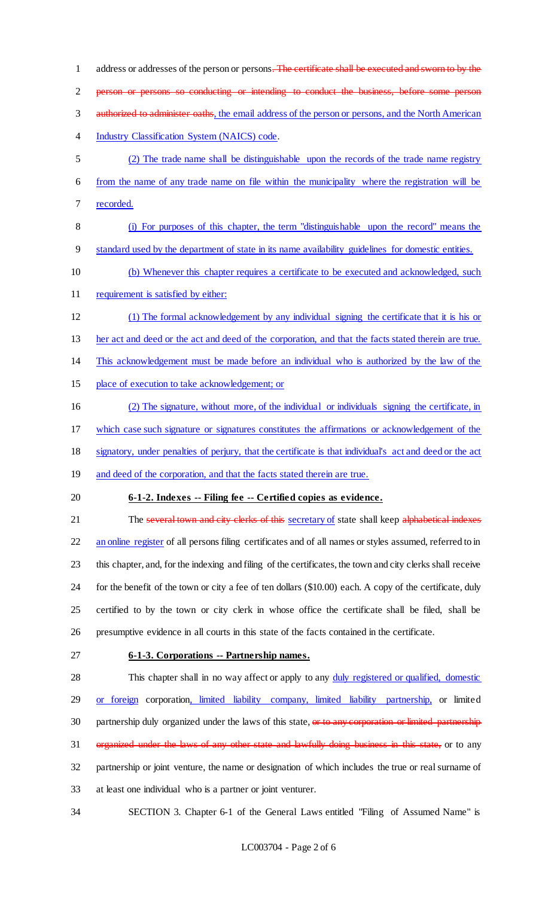1 address or addresses of the person or persons. The certificate shall be executed and sworn to by the person or persons so conducting or intending to conduct the business, before some person 3 authorized to administer oaths, the email address of the person or persons, and the North American Industry Classification System (NAICS) code. (2) The trade name shall be distinguishable upon the records of the trade name registry from the name of any trade name on file within the municipality where the registration will be recorded. (i) For purposes of this chapter, the term "distinguishable upon the record" means the standard used by the department of state in its name availability guidelines for domestic entities. (b) Whenever this chapter requires a certificate to be executed and acknowledged, such 11 requirement is satisfied by either: (1) The formal acknowledgement by any individual signing the certificate that it is his or her act and deed or the act and deed of the corporation, and that the facts stated therein are true. This acknowledgement must be made before an individual who is authorized by the law of the place of execution to take acknowledgement; or (2) The signature, without more, of the individual or individuals signing the certificate, in which case such signature or signatures constitutes the affirmations or acknowledgement of the signatory, under penalties of perjury, that the certificate is that individual's act and deed or the act 19 and deed of the corporation, and that the facts stated therein are true. **6-1-2. Indexes -- Filing fee -- Certified copies as evidence.** 21 The several town and city clerks of this secretary of state shall keep alphabetical indexes 22 an online register of all persons filing certificates and of all names or styles assumed, referred to in this chapter, and, for the indexing and filing of the certificates, the town and city clerks shall receive for the benefit of the town or city a fee of ten dollars (\$10.00) each. A copy of the certificate, duly certified to by the town or city clerk in whose office the certificate shall be filed, shall be presumptive evidence in all courts in this state of the facts contained in the certificate. **6-1-3. Corporations -- Partnership names.** This chapter shall in no way affect or apply to any duly registered or qualified, domestic 29 or foreign corporation, limited liability company, limited liability partnership, or limited 30 partnership duly organized under the laws of this state, or to any corporation or limited partnership 31 organized under the laws of any other state and lawfully doing business in this state, or to any partnership or joint venture, the name or designation of which includes the true or real surname of at least one individual who is a partner or joint venturer. SECTION 3. Chapter 6-1 of the General Laws entitled "Filing of Assumed Name" is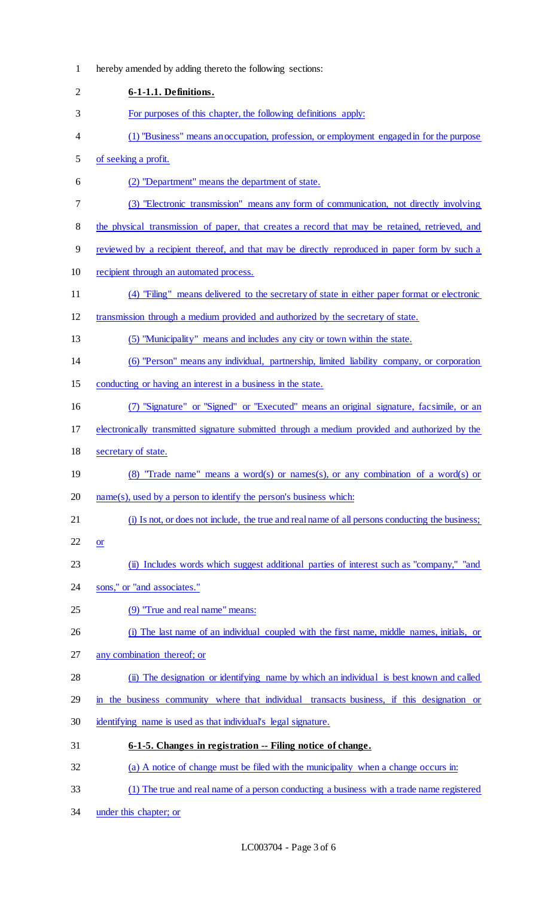| $\mathbf{1}$   | hereby amended by adding thereto the following sections:                                        |
|----------------|-------------------------------------------------------------------------------------------------|
| $\overline{2}$ | 6-1-1.1. Definitions.                                                                           |
| 3              | For purposes of this chapter, the following definitions apply:                                  |
| 4              | (1) "Business" means an occupation, profession, or employment engaged in for the purpose        |
| 5              | of seeking a profit.                                                                            |
| 6              | (2) "Department" means the department of state.                                                 |
| 7              | (3) "Electronic transmission" means any form of communication, not directly involving           |
| 8              | the physical transmission of paper, that creates a record that may be retained, retrieved, and  |
| 9              | reviewed by a recipient thereof, and that may be directly reproduced in paper form by such a    |
| 10             | recipient through an automated process.                                                         |
| 11             | (4) "Filing" means delivered to the secretary of state in either paper format or electronic     |
| 12             | transmission through a medium provided and authorized by the secretary of state.                |
| 13             | (5) "Municipality" means and includes any city or town within the state.                        |
| 14             | (6) "Person" means any individual, partnership, limited liability company, or corporation       |
| 15             | conducting or having an interest in a business in the state.                                    |
| 16             | (7) "Signature" or "Signed" or "Executed" means an original signature, facsimile, or an         |
| 17             | electronically transmitted signature submitted through a medium provided and authorized by the  |
| 18             | secretary of state.                                                                             |
| 19             | (8) "Trade name" means a word(s) or names(s), or any combination of a word(s) or                |
| 20             | $name(s)$ , used by a person to identify the person's business which:                           |
| 21             | (i) Is not, or does not include, the true and real name of all persons conducting the business; |
| 22             | <b>or</b>                                                                                       |
| 23             | (ii) Includes words which suggest additional parties of interest such as "company," "and        |
| 24             | sons," or "and associates."                                                                     |
| 25             | (9) "True and real name" means:                                                                 |
| 26             | (i) The last name of an individual coupled with the first name, middle names, initials, or      |
| 27             | any combination thereof; or                                                                     |
| 28             | (ii) The designation or identifying name by which an individual is best known and called        |
| 29             | in the business community where that individual transacts business, if this designation or      |
| 30             | identifying name is used as that individual's legal signature.                                  |
| 31             | 6-1-5. Changes in registration -- Filing notice of change.                                      |
| 32             | (a) A notice of change must be filed with the municipality when a change occurs in:             |
| 33             | (1) The true and real name of a person conducting a business with a trade name registered       |
|                |                                                                                                 |

under this chapter; or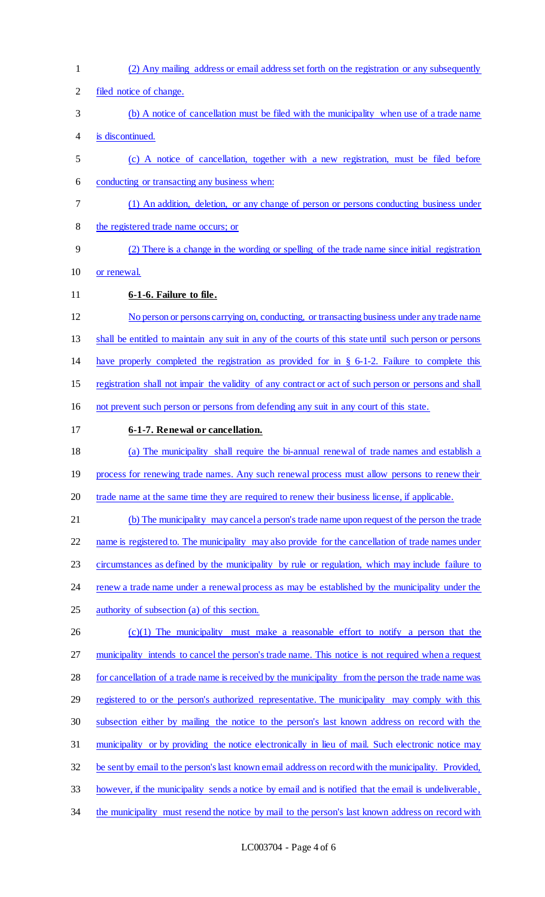(2) Any mailing address or email address set forth on the registration or any subsequently filed notice of change. (b) A notice of cancellation must be filed with the municipality when use of a trade name is discontinued. (c) A notice of cancellation, together with a new registration, must be filed before conducting or transacting any business when: (1) An addition, deletion, or any change of person or persons conducting business under the registered trade name occurs; or (2) There is a change in the wording or spelling of the trade name since initial registration or renewal. **6-1-6. Failure to file.**  No person or persons carrying on, conducting, or transacting business under any trade name shall be entitled to maintain any suit in any of the courts of this state until such person or persons have properly completed the registration as provided for in § 6-1-2. Failure to complete this registration shall not impair the validity of any contract or act of such person or persons and shall not prevent such person or persons from defending any suit in any court of this state. **6-1-7. Renewal or cancellation.**  (a) The municipality shall require the bi-annual renewal of trade names and establish a 19 process for renewing trade names. Any such renewal process must allow persons to renew their 20 trade name at the same time they are required to renew their business license, if applicable. (b) The municipality may cancel a person's trade name upon request of the person the trade 22 name is registered to. The municipality may also provide for the cancellation of trade names under circumstances as defined by the municipality by rule or regulation, which may include failure to 24 renew a trade name under a renewal process as may be established by the municipality under the 25 authority of subsection (a) of this section. (c)(1) The municipality must make a reasonable effort to notify a person that the 27 municipality intends to cancel the person's trade name. This notice is not required when a request for cancellation of a trade name is received by the municipality from the person the trade name was 29 registered to or the person's authorized representative. The municipality may comply with this subsection either by mailing the notice to the person's last known address on record with the municipality or by providing the notice electronically in lieu of mail. Such electronic notice may be sent by email to the person's last known email address on record with the municipality. Provided, however, if the municipality sends a notice by email and is notified that the email is undeliverable, 34 the municipality must resend the notice by mail to the person's last known address on record with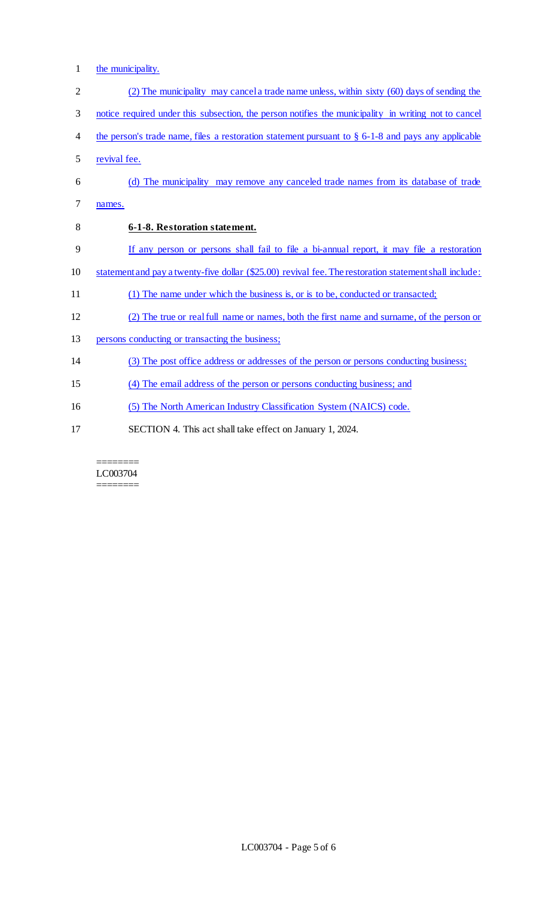1 the municipality.

| $\overline{2}$ | (2) The municipality may cancel a trade name unless, within sixty (60) days of sending the             |
|----------------|--------------------------------------------------------------------------------------------------------|
| 3              | notice required under this subsection, the person notifies the municipality in writing not to cancel   |
| 4              | the person's trade name, files a restoration statement pursuant to $\S$ 6-1-8 and pays any applicable  |
| 5              | revival fee.                                                                                           |
| 6              | (d) The municipality may remove any canceled trade names from its database of trade                    |
| 7              | names.                                                                                                 |
| 8              | 6-1-8. Restoration statement.                                                                          |
| 9              | If any person or persons shall fail to file a bi-annual report, it may file a restoration              |
| 10             | statement and pay a twenty-five dollar (\$25.00) revival fee. The restoration statement shall include: |
| 11             | (1) The name under which the business is, or is to be, conducted or transacted;                        |
| 12             | (2) The true or real full name or names, both the first name and surname, of the person or             |
| 13             | persons conducting or transacting the business;                                                        |
| 14             | (3) The post office address or addresses of the person or persons conducting business;                 |
| 15             | (4) The email address of the person or persons conducting business; and                                |
| 16             | (5) The North American Industry Classification System (NAICS) code.                                    |
| 17             | SECTION 4. This act shall take effect on January 1, 2024.                                              |

#### ======== LC003704  $=$